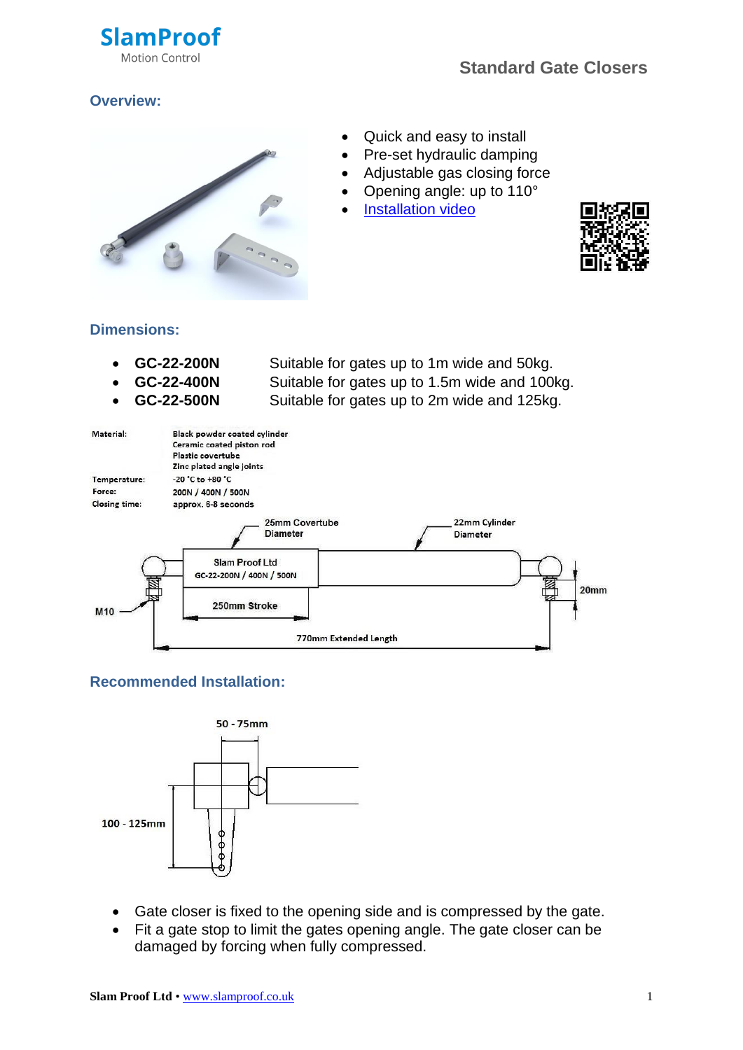

## **Overview:**



- Quick and easy to install
- Pre-set hydraulic damping
- Adjustable gas closing force
- Opening angle: up to 110°
- [Installation video](https://www.youtube.com/watch?v=GXgR9OPHEAU)



### **Dimensions:**

- 
- 
- 

 **GC-22-200N** Suitable for gates up to 1m wide and 50kg. **GC-22-400N** Suitable for gates up to 1.5m wide and 100kg. **GC-22-500N** Suitable for gates up to 2m wide and 125kg.



# **Recommended Installation:**



- Gate closer is fixed to the opening side and is compressed by the gate.
- Fit a gate stop to limit the gates opening angle. The gate closer can be damaged by forcing when fully compressed.